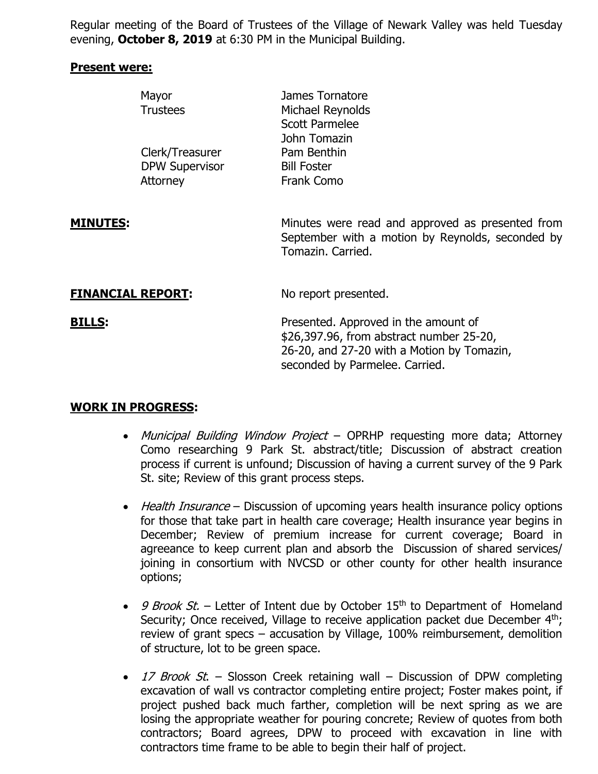Regular meeting of the Board of Trustees of the Village of Newark Valley was held Tuesday evening, **October 8, 2019** at 6:30 PM in the Municipal Building.

#### **Present were:**

|                          | Mayor<br><b>Trustees</b>                             | James Tornatore<br>Michael Reynolds<br><b>Scott Parmelee</b><br>John Tomazin                                              |
|--------------------------|------------------------------------------------------|---------------------------------------------------------------------------------------------------------------------------|
|                          | Clerk/Treasurer<br><b>DPW Supervisor</b><br>Attorney | Pam Benthin<br><b>Bill Foster</b><br>Frank Como                                                                           |
| <b>MINUTES:</b>          |                                                      | Minutes were read and approved as presented from<br>September with a motion by Reynolds, seconded by<br>Tomazin, Carried. |
| <b>FINANCIAL REPORT:</b> |                                                      | No report presented.                                                                                                      |

**BILLS:** Presented. Approved in the amount of \$26,397.96, from abstract number 25-20, 26-20, and 27-20 with a Motion by Tomazin, seconded by Parmelee. Carried.

### **WORK IN PROGRESS:**

- Municipal Building Window Project OPRHP requesting more data; Attorney Como researching 9 Park St. abstract/title; Discussion of abstract creation process if current is unfound; Discussion of having a current survey of the 9 Park St. site; Review of this grant process steps.
- Health Insurance Discussion of upcoming years health insurance policy options for those that take part in health care coverage; Health insurance year begins in December; Review of premium increase for current coverage; Board in agreeance to keep current plan and absorb the Discussion of shared services/ joining in consortium with NVCSD or other county for other health insurance options;
- 9 Brook St. Letter of Intent due by October 15<sup>th</sup> to Department of Homeland Security; Once received, Village to receive application packet due December 4<sup>th</sup>; review of grant specs – accusation by Village, 100% reimbursement, demolition of structure, lot to be green space.
- 17 Brook St. Slosson Creek retaining wall Discussion of DPW completing excavation of wall vs contractor completing entire project; Foster makes point, if project pushed back much farther, completion will be next spring as we are losing the appropriate weather for pouring concrete; Review of quotes from both contractors; Board agrees, DPW to proceed with excavation in line with contractors time frame to be able to begin their half of project.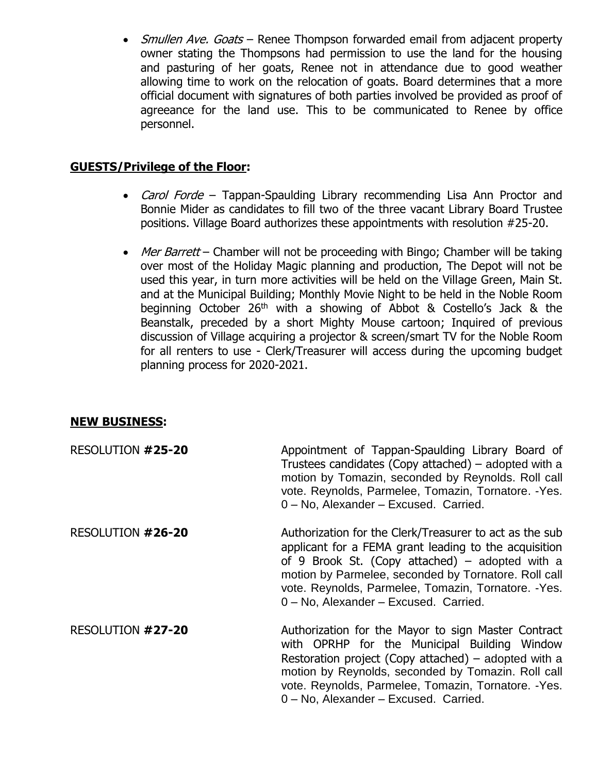• *Smullen Ave. Goats* – Renee Thompson forwarded email from adjacent property owner stating the Thompsons had permission to use the land for the housing and pasturing of her goats, Renee not in attendance due to good weather allowing time to work on the relocation of goats. Board determines that a more official document with signatures of both parties involved be provided as proof of agreeance for the land use. This to be communicated to Renee by office personnel.

# **GUESTS/Privilege of the Floor:**

- Carol Forde Tappan-Spaulding Library recommending Lisa Ann Proctor and Bonnie Mider as candidates to fill two of the three vacant Library Board Trustee positions. Village Board authorizes these appointments with resolution #25-20.
- Mer Barrett Chamber will not be proceeding with Bingo; Chamber will be taking over most of the Holiday Magic planning and production, The Depot will not be used this year, in turn more activities will be held on the Village Green, Main St. and at the Municipal Building; Monthly Movie Night to be held in the Noble Room beginning October 26<sup>th</sup> with a showing of Abbot & Costello's Jack & the Beanstalk, preceded by a short Mighty Mouse cartoon; Inquired of previous discussion of Village acquiring a projector & screen/smart TV for the Noble Room for all renters to use - Clerk/Treasurer will access during the upcoming budget planning process for 2020-2021.

### **NEW BUSINESS:**

| RESOLUTION #25-20 | Appointment of Tappan-Spaulding Library Board of<br>Trustees candidates (Copy attached) – adopted with a<br>motion by Tomazin, seconded by Reynolds. Roll call<br>vote. Reynolds, Parmelee, Tomazin, Tornatore. - Yes.<br>0 - No, Alexander - Excused. Carried.                                                              |
|-------------------|------------------------------------------------------------------------------------------------------------------------------------------------------------------------------------------------------------------------------------------------------------------------------------------------------------------------------|
| RESOLUTION #26-20 | Authorization for the Clerk/Treasurer to act as the sub<br>applicant for a FEMA grant leading to the acquisition<br>of 9 Brook St. (Copy attached) – adopted with a<br>motion by Parmelee, seconded by Tornatore. Roll call<br>vote. Reynolds, Parmelee, Tomazin, Tornatore. - Yes.<br>0 - No, Alexander - Excused. Carried. |
| RESOLUTION #27-20 | Authorization for the Mayor to sign Master Contract<br>with OPRHP for the Municipal Building Window<br>Restoration project (Copy attached) – adopted with a<br>motion by Reynolds, seconded by Tomazin. Roll call<br>vote. Reynolds, Parmelee, Tomazin, Tornatore. - Yes.<br>0 - No, Alexander - Excused. Carried.           |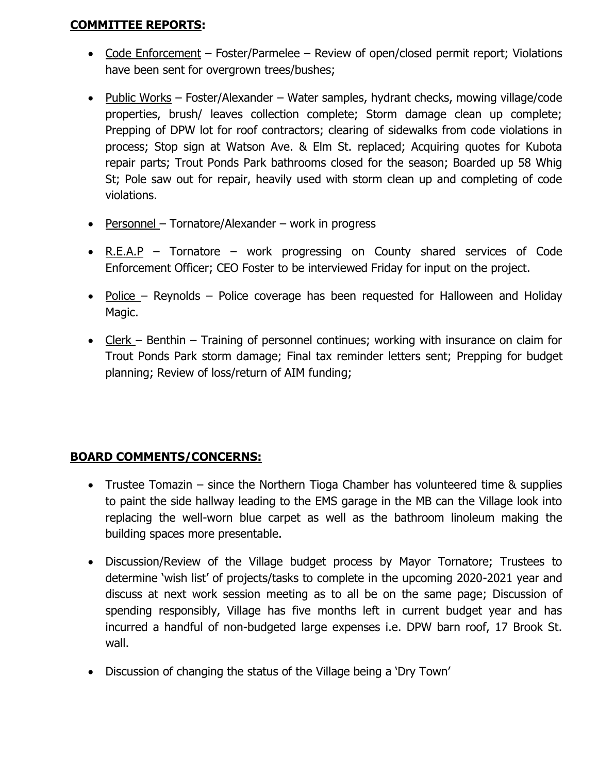### **COMMITTEE REPORTS:**

- Code Enforcement Foster/Parmelee Review of open/closed permit report; Violations have been sent for overgrown trees/bushes;
- Public Works Foster/Alexander Water samples, hydrant checks, mowing village/code properties, brush/ leaves collection complete; Storm damage clean up complete; Prepping of DPW lot for roof contractors; clearing of sidewalks from code violations in process; Stop sign at Watson Ave. & Elm St. replaced; Acquiring quotes for Kubota repair parts; Trout Ponds Park bathrooms closed for the season; Boarded up 58 Whig St; Pole saw out for repair, heavily used with storm clean up and completing of code violations.
- Personnel Tornatore/Alexander work in progress
- R.E.A.P Tornatore work progressing on County shared services of Code Enforcement Officer; CEO Foster to be interviewed Friday for input on the project.
- Police Reynolds Police coverage has been requested for Halloween and Holiday Magic.
- Clerk Benthin Training of personnel continues; working with insurance on claim for Trout Ponds Park storm damage; Final tax reminder letters sent; Prepping for budget planning; Review of loss/return of AIM funding;

## **BOARD COMMENTS/CONCERNS:**

- Trustee Tomazin since the Northern Tioga Chamber has volunteered time & supplies to paint the side hallway leading to the EMS garage in the MB can the Village look into replacing the well-worn blue carpet as well as the bathroom linoleum making the building spaces more presentable.
- Discussion/Review of the Village budget process by Mayor Tornatore; Trustees to determine 'wish list' of projects/tasks to complete in the upcoming 2020-2021 year and discuss at next work session meeting as to all be on the same page; Discussion of spending responsibly, Village has five months left in current budget year and has incurred a handful of non-budgeted large expenses i.e. DPW barn roof, 17 Brook St. wall.
- Discussion of changing the status of the Village being a 'Dry Town'